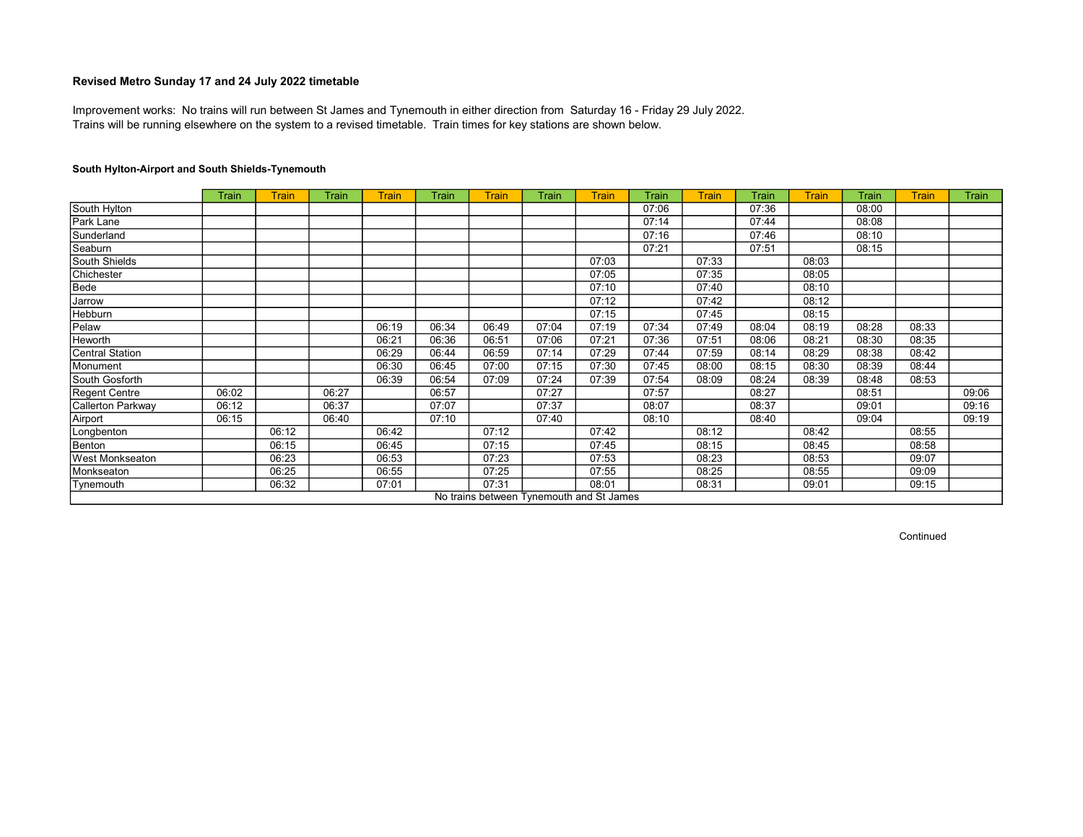Trains will be running elsewhere on the system to a revised timetable. Train times for key stations are shown below. Improvement works: No trains will run between St James and Tynemouth in either direction from Saturday 16 - Friday 29 July 2022.

## South Hylton-Airport and South Shields-Tynemouth

|                        | <b>Train</b> | <b>Train</b> | Train | <b>Train</b> | Train | <b>Train</b>                             | Train | <b>Train</b> | <b>Train</b> | <b>Train</b> | <b>Train</b> | <b>Train</b> | <b>Train</b> | <b>Train</b> | Train |
|------------------------|--------------|--------------|-------|--------------|-------|------------------------------------------|-------|--------------|--------------|--------------|--------------|--------------|--------------|--------------|-------|
| South Hylton           |              |              |       |              |       |                                          |       |              | 07:06        |              | 07:36        |              | 08:00        |              |       |
| Park Lane              |              |              |       |              |       |                                          |       |              | 07:14        |              | 07:44        |              | 08:08        |              |       |
| Sunderland             |              |              |       |              |       |                                          |       |              | 07:16        |              | 07:46        |              | 08:10        |              |       |
| Seaburn                |              |              |       |              |       |                                          |       |              | 07:21        |              | 07:51        |              | 08:15        |              |       |
| South Shields          |              |              |       |              |       |                                          |       | 07:03        |              | 07:33        |              | 08:03        |              |              |       |
| Chichester             |              |              |       |              |       |                                          |       | 07:05        |              | 07:35        |              | 08:05        |              |              |       |
| Bede                   |              |              |       |              |       |                                          |       | 07:10        |              | 07:40        |              | 08:10        |              |              |       |
| Jarrow                 |              |              |       |              |       |                                          |       | 07:12        |              | 07:42        |              | 08:12        |              |              |       |
| Hebburn                |              |              |       |              |       |                                          |       | 07:15        |              | 07:45        |              | 08:15        |              |              |       |
| Pelaw                  |              |              |       | 06:19        | 06:34 | 06:49                                    | 07:04 | 07:19        | 07:34        | 07:49        | 08:04        | 08:19        | 08:28        | 08:33        |       |
| Heworth                |              |              |       | 06:21        | 06:36 | 06:51                                    | 07:06 | 07:21        | 07:36        | 07:51        | 08:06        | 08:21        | 08:30        | 08:35        |       |
| <b>Central Station</b> |              |              |       | 06:29        | 06:44 | 06:59                                    | 07:14 | 07:29        | 07:44        | 07:59        | 08:14        | 08:29        | 08:38        | 08:42        |       |
| Monument               |              |              |       | 06:30        | 06:45 | 07:00                                    | 07:15 | 07:30        | 07:45        | 08:00        | 08:15        | 08:30        | 08:39        | 08:44        |       |
| South Gosforth         |              |              |       | 06:39        | 06:54 | 07:09                                    | 07:24 | 07:39        | 07:54        | 08:09        | 08:24        | 08:39        | 08:48        | 08:53        |       |
| Regent Centre          | 06:02        |              | 06:27 |              | 06:57 |                                          | 07:27 |              | 07:57        |              | 08:27        |              | 08:51        |              | 09:06 |
| Callerton Parkway      | 06:12        |              | 06:37 |              | 07:07 |                                          | 07:37 |              | 08:07        |              | 08:37        |              | 09:01        |              | 09:16 |
| Airport                | 06:15        |              | 06:40 |              | 07:10 |                                          | 07:40 |              | 08:10        |              | 08:40        |              | 09:04        |              | 09:19 |
| Longbenton             |              | 06:12        |       | 06:42        |       | 07:12                                    |       | 07:42        |              | 08:12        |              | 08:42        |              | 08:55        |       |
| Benton                 |              | 06:15        |       | 06:45        |       | 07:15                                    |       | 07:45        |              | 08:15        |              | 08:45        |              | 08:58        |       |
| <b>West Monkseaton</b> |              | 06:23        |       | 06:53        |       | 07:23                                    |       | 07:53        |              | 08:23        |              | 08:53        |              | 09:07        |       |
| Monkseaton             |              | 06:25        |       | 06:55        |       | 07:25                                    |       | 07:55        |              | 08:25        |              | 08:55        |              | 09:09        |       |
| Tynemouth              |              | 06:32        |       | 07:01        |       | 07:31                                    |       | 08:01        |              | 08:31        |              | 09:01        |              | 09:15        |       |
|                        |              |              |       |              |       | No trains between Tynemouth and St James |       |              |              |              |              |              |              |              |       |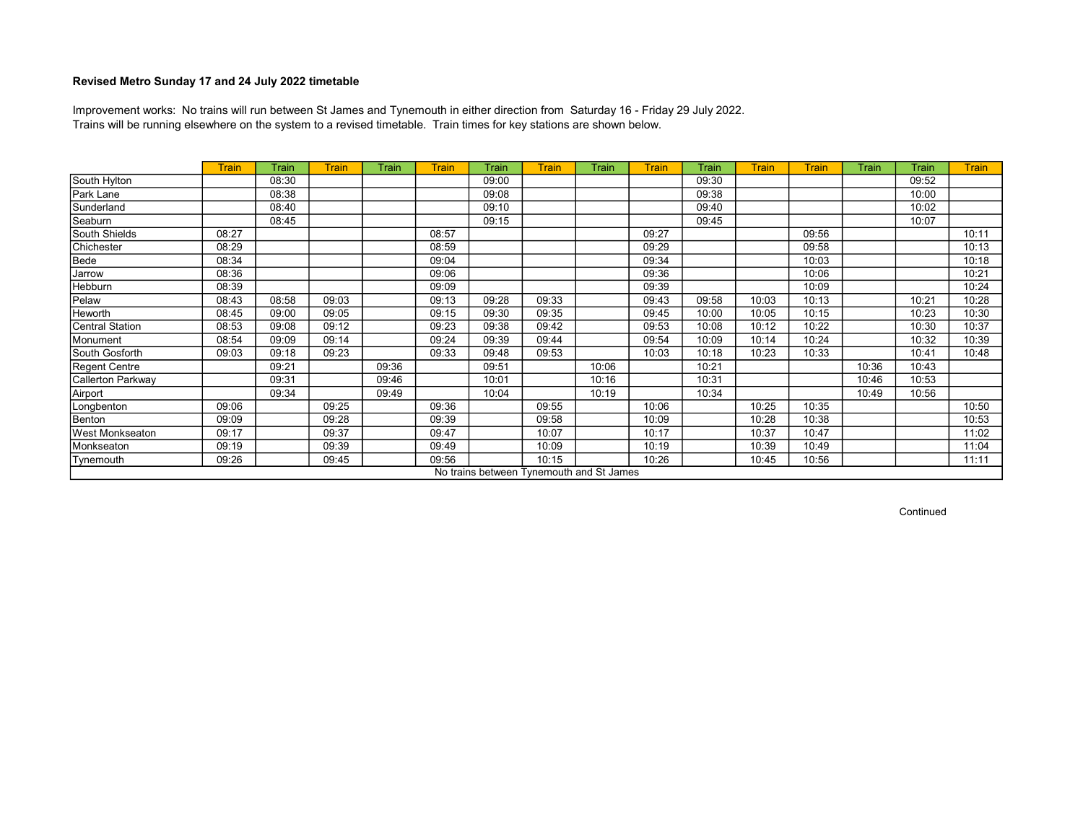Trains will be running elsewhere on the system to a revised timetable. Train times for key stations are shown below. Improvement works: No trains will run between St James and Tynemouth in either direction from Saturday 16 - Friday 29 July 2022.

|                        | <b>Train</b> | Train | <b>Train</b> | Train | <b>Train</b> | Train | Train | Train                                    | <b>Train</b> | Train | <b>Train</b> | <b>Train</b> | Train | Train | <b>Train</b> |
|------------------------|--------------|-------|--------------|-------|--------------|-------|-------|------------------------------------------|--------------|-------|--------------|--------------|-------|-------|--------------|
| South Hylton           |              | 08:30 |              |       |              | 09:00 |       |                                          |              | 09:30 |              |              |       | 09:52 |              |
| Park Lane              |              | 08:38 |              |       |              | 09:08 |       |                                          |              | 09:38 |              |              |       | 10:00 |              |
| Sunderland             |              | 08:40 |              |       |              | 09:10 |       |                                          |              | 09:40 |              |              |       | 10:02 |              |
| Seaburn                |              | 08:45 |              |       |              | 09:15 |       |                                          |              | 09:45 |              |              |       | 10:07 |              |
| South Shields          | 08:27        |       |              |       | 08:57        |       |       |                                          | 09:27        |       |              | 09:56        |       |       | 10:11        |
| Chichester             | 08:29        |       |              |       | 08:59        |       |       |                                          | 09:29        |       |              | 09:58        |       |       | 10:13        |
| Bede                   | 08:34        |       |              |       | 09:04        |       |       |                                          | 09:34        |       |              | 10:03        |       |       | 10:18        |
| Jarrow                 | 08:36        |       |              |       | 09:06        |       |       |                                          | 09:36        |       |              | 10:06        |       |       | 10:21        |
| Hebburn                | 08:39        |       |              |       | 09:09        |       |       |                                          | 09:39        |       |              | 10:09        |       |       | 10:24        |
| Pelaw                  | 08:43        | 08:58 | 09:03        |       | 09:13        | 09:28 | 09:33 |                                          | 09:43        | 09:58 | 10:03        | 10:13        |       | 10:21 | 10:28        |
| Heworth                | 08:45        | 09:00 | 09:05        |       | 09:15        | 09:30 | 09:35 |                                          | 09:45        | 10:00 | 10:05        | 10:15        |       | 10:23 | 10:30        |
| Central Station        | 08:53        | 09:08 | 09:12        |       | 09:23        | 09:38 | 09:42 |                                          | 09:53        | 10:08 | 10:12        | 10:22        |       | 10:30 | 10:37        |
| Monument               | 08:54        | 09:09 | 09:14        |       | 09:24        | 09:39 | 09:44 |                                          | 09:54        | 10:09 | 10:14        | 10:24        |       | 10:32 | 10:39        |
| South Gosforth         | 09:03        | 09:18 | 09:23        |       | 09:33        | 09:48 | 09:53 |                                          | 10:03        | 10:18 | 10:23        | 10:33        |       | 10:41 | 10:48        |
| Regent Centre          |              | 09:21 |              | 09:36 |              | 09:51 |       | 10:06                                    |              | 10:21 |              |              | 10:36 | 10:43 |              |
| Callerton Parkway      |              | 09:31 |              | 09:46 |              | 10:01 |       | 10:16                                    |              | 10:31 |              |              | 10:46 | 10:53 |              |
| Airport                |              | 09:34 |              | 09:49 |              | 10:04 |       | 10:19                                    |              | 10:34 |              |              | 10:49 | 10:56 |              |
| Longbenton             | 09:06        |       | 09:25        |       | 09:36        |       | 09:55 |                                          | 10:06        |       | 10:25        | 10:35        |       |       | 10:50        |
| Benton                 | 09:09        |       | 09:28        |       | 09:39        |       | 09:58 |                                          | 10:09        |       | 10:28        | 10:38        |       |       | 10:53        |
| <b>West Monkseaton</b> | 09:17        |       | 09:37        |       | 09:47        |       | 10:07 |                                          | 10:17        |       | 10:37        | 10:47        |       |       | 11:02        |
| Monkseaton             | 09:19        |       | 09:39        |       | 09:49        |       | 10:09 |                                          | 10:19        |       | 10:39        | 10:49        |       |       | 11:04        |
| Tynemouth              | 09:26        |       | 09:45        |       | 09:56        |       | 10:15 |                                          | 10:26        |       | 10:45        | 10:56        |       |       | 11:11        |
|                        |              |       |              |       |              |       |       | No trains between Tynemouth and St James |              |       |              |              |       |       |              |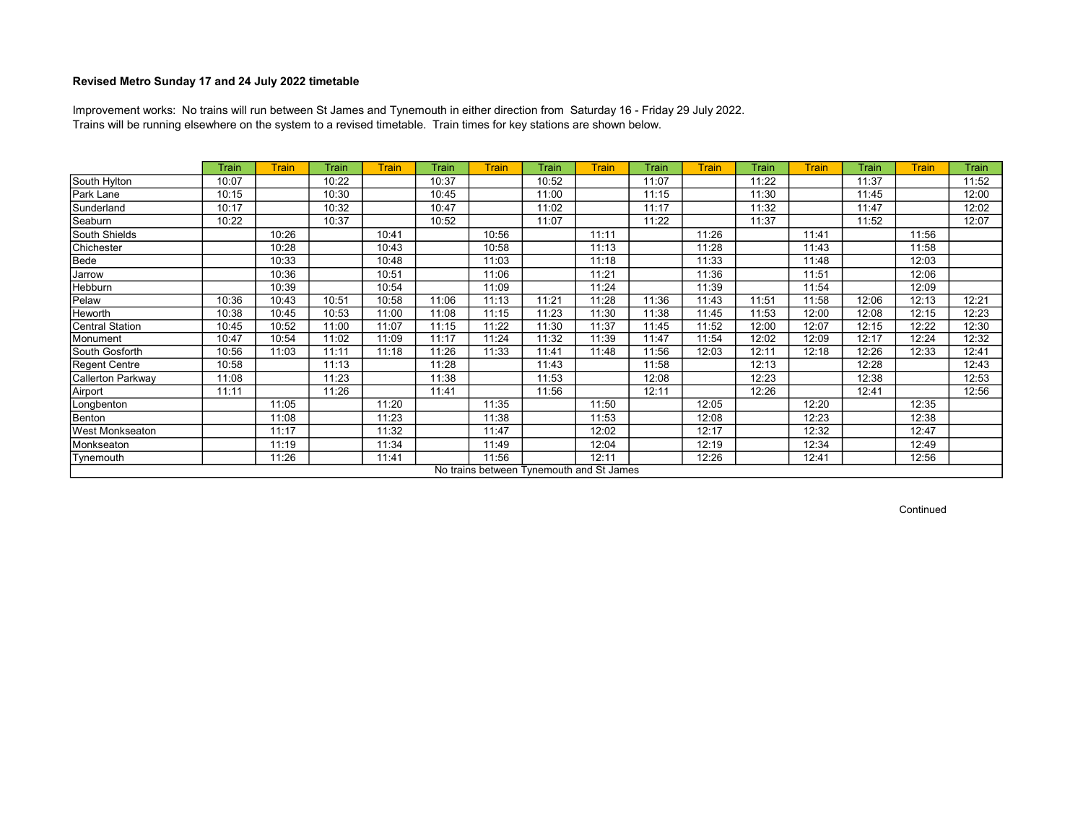Trains will be running elsewhere on the system to a revised timetable. Train times for key stations are shown below. Improvement works: No trains will run between St James and Tynemouth in either direction from Saturday 16 - Friday 29 July 2022.

|                        | Train | <b>Train</b> | Train | <b>Train</b> | <b>Train</b> | <b>Train</b> | Train | <b>Train</b>                             | Train | <b>Train</b> | Train | <b>Train</b> | <b>Train</b> | <b>Train</b> | Train |
|------------------------|-------|--------------|-------|--------------|--------------|--------------|-------|------------------------------------------|-------|--------------|-------|--------------|--------------|--------------|-------|
| South Hylton           | 10:07 |              | 10:22 |              | 10:37        |              | 10:52 |                                          | 11:07 |              | 11:22 |              | 11:37        |              | 11:52 |
| Park Lane              | 10:15 |              | 10:30 |              | 10:45        |              | 11:00 |                                          | 11:15 |              | 11:30 |              | 11:45        |              | 12:00 |
| Sunderland             | 10:17 |              | 10:32 |              | 10:47        |              | 11:02 |                                          | 11:17 |              | 11:32 |              | 11:47        |              | 12:02 |
| Seaburn                | 10:22 |              | 10:37 |              | 10:52        |              | 11:07 |                                          | 11:22 |              | 11:37 |              | 11:52        |              | 12:07 |
| South Shields          |       | 10:26        |       | 10:41        |              | 10:56        |       | 11:11                                    |       | 11:26        |       | 11:41        |              | 11:56        |       |
| Chichester             |       | 10:28        |       | 10:43        |              | 10:58        |       | 11:13                                    |       | 11:28        |       | 11:43        |              | 11:58        |       |
| Bede                   |       | 10:33        |       | 10:48        |              | 11:03        |       | 11:18                                    |       | 11:33        |       | 11:48        |              | 12:03        |       |
| Jarrow                 |       | 10:36        |       | 10:51        |              | 11:06        |       | 11:21                                    |       | 11:36        |       | 11:51        |              | 12:06        |       |
| Hebburn                |       | 10:39        |       | 10:54        |              | 11:09        |       | 11:24                                    |       | 11:39        |       | 11:54        |              | 12:09        |       |
| Pelaw                  | 10:36 | 10:43        | 10:51 | 10:58        | 11:06        | 11:13        | 11:21 | 11:28                                    | 11:36 | 11:43        | 11:51 | 11:58        | 12:06        | 12:13        | 12:21 |
| Heworth                | 10:38 | 10:45        | 10:53 | 11:00        | 11:08        | 11:15        | 11:23 | 11:30                                    | 11:38 | 11:45        | 11:53 | 12:00        | 12:08        | 12:15        | 12:23 |
| Central Station        | 10:45 | 10:52        | 11:00 | 11:07        | 11:15        | 11:22        | 11:30 | 11:37                                    | 11:45 | 11:52        | 12:00 | 12:07        | 12:15        | 12:22        | 12:30 |
| Monument               | 10:47 | 10:54        | 11:02 | 11:09        | 11:17        | 11:24        | 11:32 | 11:39                                    | 11:47 | 11:54        | 12:02 | 12:09        | 12:17        | 12:24        | 12:32 |
| South Gosforth         | 10:56 | 11:03        | 11:11 | 11:18        | 11:26        | 11:33        | 11:41 | 11:48                                    | 11:56 | 12:03        | 12:11 | 12:18        | 12:26        | 12:33        | 12:41 |
| <b>Regent Centre</b>   | 10:58 |              | 11:13 |              | 11:28        |              | 11:43 |                                          | 11:58 |              | 12:13 |              | 12:28        |              | 12:43 |
| Callerton Parkway      | 11:08 |              | 11:23 |              | 11:38        |              | 11:53 |                                          | 12:08 |              | 12:23 |              | 12:38        |              | 12:53 |
| Airport                | 11:11 |              | 11:26 |              | 11:41        |              | 11:56 |                                          | 12:11 |              | 12:26 |              | 12:41        |              | 12:56 |
| Longbenton             |       | 11:05        |       | 11:20        |              | 11:35        |       | 11:50                                    |       | 12:05        |       | 12:20        |              | 12:35        |       |
| Benton                 |       | 11:08        |       | 11:23        |              | 11:38        |       | 11:53                                    |       | 12:08        |       | 12:23        |              | 12:38        |       |
| <b>West Monkseaton</b> |       | 11:17        |       | 11:32        |              | 11:47        |       | 12:02                                    |       | 12:17        |       | 12:32        |              | 12:47        |       |
| Monkseaton             |       | 11:19        |       | 11:34        |              | 11:49        |       | 12:04                                    |       | 12:19        |       | 12:34        |              | 12:49        |       |
| Tynemouth              |       | 11:26        |       | 11:41        |              | 11:56        |       | 12:11                                    |       | 12:26        |       | 12:41        |              | 12:56        |       |
|                        |       |              |       |              |              |              |       | No trains between Tynemouth and St James |       |              |       |              |              |              |       |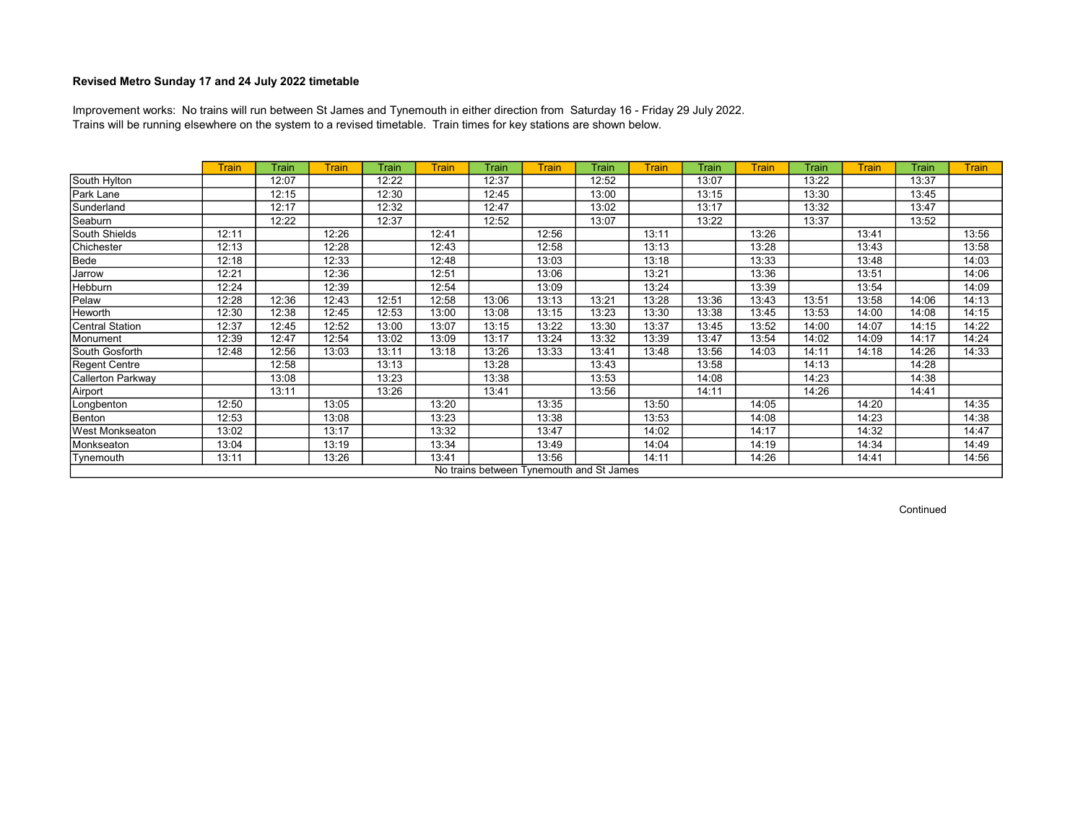Trains will be running elsewhere on the system to a revised timetable. Train times for key stations are shown below. Improvement works: No trains will run between St James and Tynemouth in either direction from Saturday 16 - Friday 29 July 2022.

|                        | <b>Train</b> | <b>Train</b> | <b>Train</b> | Train | <b>Train</b> | Train                                    | <b>Train</b> | Train | <b>Train</b> | Train | <b>Train</b> | Train | <b>Train</b> | Train | <b>Train</b> |
|------------------------|--------------|--------------|--------------|-------|--------------|------------------------------------------|--------------|-------|--------------|-------|--------------|-------|--------------|-------|--------------|
| South Hylton           |              | 12:07        |              | 12:22 |              | 12:37                                    |              | 12:52 |              | 13:07 |              | 13:22 |              | 13:37 |              |
| Park Lane              |              | 12:15        |              | 12:30 |              | 12:45                                    |              | 13:00 |              | 13:15 |              | 13:30 |              | 13:45 |              |
| Sunderland             |              | 12:17        |              | 12:32 |              | 12:47                                    |              | 13:02 |              | 13:17 |              | 13:32 |              | 13:47 |              |
| Seaburn                |              | 12:22        |              | 12:37 |              | 12:52                                    |              | 13:07 |              | 13:22 |              | 13:37 |              | 13:52 |              |
| South Shields          | 12:11        |              | 12:26        |       | 12:41        |                                          | 12:56        |       | 13:11        |       | 13:26        |       | 13:41        |       | 13:56        |
| Chichester             | 12:13        |              | 12:28        |       | 12:43        |                                          | 12:58        |       | 13:13        |       | 13:28        |       | 13:43        |       | 13:58        |
| Bede                   | 12:18        |              | 12:33        |       | 12:48        |                                          | 13:03        |       | 13:18        |       | 13:33        |       | 13:48        |       | 14:03        |
| Jarrow                 | 12:21        |              | 12:36        |       | 12:51        |                                          | 13:06        |       | 13:21        |       | 13:36        |       | 13:51        |       | 14:06        |
| Hebburn                | 12:24        |              | 12:39        |       | 12:54        |                                          | 13:09        |       | 13:24        |       | 13:39        |       | 13:54        |       | 14:09        |
| Pelaw                  | 12:28        | 12:36        | 12:43        | 12:51 | 12:58        | 13:06                                    | 13:13        | 13:21 | 13:28        | 13:36 | 13:43        | 13:51 | 13:58        | 14:06 | 14:13        |
| Heworth                | 12:30        | 12:38        | 12:45        | 12:53 | 13:00        | 13:08                                    | 13:15        | 13:23 | 13:30        | 13:38 | 13:45        | 13:53 | 14:00        | 14:08 | 14:15        |
| Central Station        | 12:37        | 12:45        | 12:52        | 13:00 | 13:07        | 13:15                                    | 13:22        | 13:30 | 13:37        | 13:45 | 13:52        | 14:00 | 14:07        | 14:15 | 14:22        |
| Monument               | 12:39        | 12:47        | 12:54        | 13:02 | 13:09        | 13:17                                    | 13:24        | 13:32 | 13:39        | 13:47 | 13:54        | 14:02 | 14:09        | 14:17 | 14:24        |
| South Gosforth         | 12:48        | 12:56        | 13:03        | 13:11 | 13:18        | 13:26                                    | 13:33        | 13:41 | 13:48        | 13:56 | 14:03        | 14:11 | 14:18        | 14:26 | 14:33        |
| <b>Regent Centre</b>   |              | 12:58        |              | 13:13 |              | 13:28                                    |              | 13:43 |              | 13:58 |              | 14:13 |              | 14:28 |              |
| Callerton Parkway      |              | 13:08        |              | 13:23 |              | 13:38                                    |              | 13:53 |              | 14:08 |              | 14:23 |              | 14:38 |              |
| Airport                |              | 13:11        |              | 13:26 |              | 13:41                                    |              | 13:56 |              | 14:11 |              | 14:26 |              | 14:41 |              |
| Longbenton             | 12:50        |              | 13:05        |       | 13:20        |                                          | 13:35        |       | 13:50        |       | 14:05        |       | 14:20        |       | 14:35        |
| Benton                 | 12:53        |              | 13:08        |       | 13:23        |                                          | 13:38        |       | 13:53        |       | 14:08        |       | 14:23        |       | 14:38        |
| <b>West Monkseaton</b> | 13:02        |              | 13:17        |       | 13:32        |                                          | 13:47        |       | 14:02        |       | 14:17        |       | 14:32        |       | 14:47        |
| Monkseaton             | 13:04        |              | 13:19        |       | 13:34        |                                          | 13:49        |       | 14:04        |       | 14:19        |       | 14:34        |       | 14:49        |
| Tynemouth              | 13:11        |              | 13:26        |       | 13:41        |                                          | 13:56        |       | 14:11        |       | 14:26        |       | 14:41        |       | 14:56        |
|                        |              |              |              |       |              | No trains between Tynemouth and St James |              |       |              |       |              |       |              |       |              |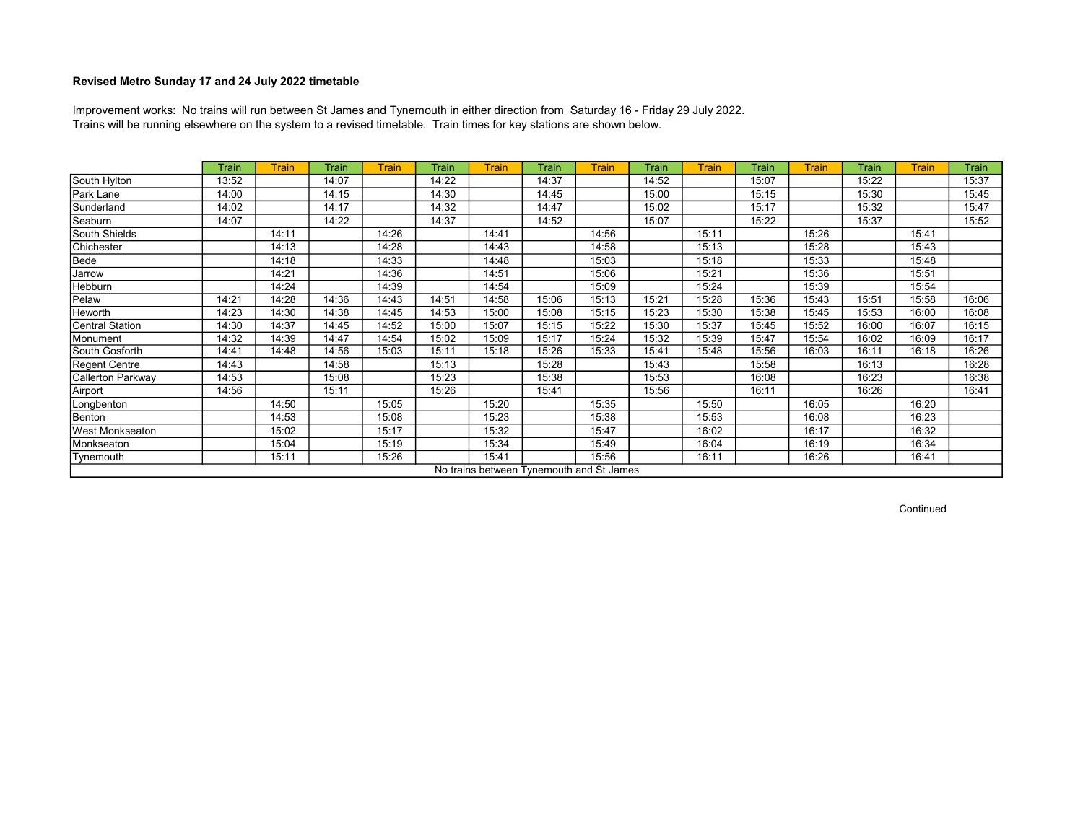Trains will be running elsewhere on the system to a revised timetable. Train times for key stations are shown below. Improvement works: No trains will run between St James and Tynemouth in either direction from Saturday 16 - Friday 29 July 2022.

|                      | <b>Train</b> | <b>Train</b> | Train | <b>Train</b> | Train | <b>Train</b> | Train | <b>Train</b>                             | Train | <b>Train</b> | Train | <b>Train</b> | <b>Train</b> | <b>Train</b> | Train |
|----------------------|--------------|--------------|-------|--------------|-------|--------------|-------|------------------------------------------|-------|--------------|-------|--------------|--------------|--------------|-------|
| South Hylton         | 13:52        |              | 14:07 |              | 14:22 |              | 14:37 |                                          | 14:52 |              | 15:07 |              | 15:22        |              | 15:37 |
| Park Lane            | 14:00        |              | 14:15 |              | 14:30 |              | 14:45 |                                          | 15:00 |              | 15:15 |              | 15:30        |              | 15:45 |
| Sunderland           | 14:02        |              | 14:17 |              | 14:32 |              | 14:47 |                                          | 15:02 |              | 15:17 |              | 15:32        |              | 15:47 |
| Seaburn              | 14:07        |              | 14:22 |              | 14:37 |              | 14:52 |                                          | 15:07 |              | 15:22 |              | 15:37        |              | 15:52 |
| South Shields        |              | 14:11        |       | 14:26        |       | 14:41        |       | 14:56                                    |       | 15:11        |       | 15:26        |              | 15:41        |       |
| Chichester           |              | 14:13        |       | 14:28        |       | 14:43        |       | 14:58                                    |       | 15:13        |       | 15:28        |              | 15:43        |       |
| Bede                 |              | 14:18        |       | 14:33        |       | 14:48        |       | 15:03                                    |       | 15:18        |       | 15:33        |              | 15:48        |       |
| Jarrow               |              | 14:21        |       | 14:36        |       | 14:51        |       | 15:06                                    |       | 15:21        |       | 15:36        |              | 15:51        |       |
| Hebburn              |              | 14:24        |       | 14:39        |       | 14:54        |       | 15:09                                    |       | 15:24        |       | 15:39        |              | 15:54        |       |
| Pelaw                | 14:21        | 14:28        | 14:36 | 14:43        | 14:51 | 14:58        | 15:06 | 15:13                                    | 15:21 | 15:28        | 15:36 | 15:43        | 15:51        | 15:58        | 16:06 |
| Heworth              | 14:23        | 14:30        | 14:38 | 14:45        | 14:53 | 15:00        | 15:08 | 15:15                                    | 15:23 | 15:30        | 15:38 | 15:45        | 15:53        | 16:00        | 16:08 |
| Central Station      | 14:30        | 14:37        | 14:45 | 14:52        | 15:00 | 15:07        | 15:15 | 15:22                                    | 15:30 | 15:37        | 15:45 | 15:52        | 16:00        | 16:07        | 16:15 |
| Monument             | 14:32        | 14:39        | 14:47 | 14:54        | 15:02 | 15:09        | 15:17 | 15:24                                    | 15:32 | 15:39        | 15:47 | 15:54        | 16:02        | 16:09        | 16:17 |
| South Gosforth       | 14:41        | 14:48        | 14:56 | 15:03        | 15:11 | 15:18        | 15:26 | 15:33                                    | 15:41 | 15:48        | 15:56 | 16:03        | 16:11        | 16:18        | 16:26 |
| <b>Regent Centre</b> | 14:43        |              | 14:58 |              | 15:13 |              | 15:28 |                                          | 15:43 |              | 15:58 |              | 16:13        |              | 16:28 |
| Callerton Parkway    | 14:53        |              | 15:08 |              | 15:23 |              | 15:38 |                                          | 15:53 |              | 16:08 |              | 16:23        |              | 16:38 |
| Airport              | 14:56        |              | 15:11 |              | 15:26 |              | 15:41 |                                          | 15:56 |              | 16:11 |              | 16:26        |              | 16:41 |
| Longbenton           |              | 14:50        |       | 15:05        |       | 15:20        |       | 15:35                                    |       | 15:50        |       | 16:05        |              | 16:20        |       |
| Benton               |              | 14:53        |       | 15:08        |       | 15:23        |       | 15:38                                    |       | 15:53        |       | 16:08        |              | 16:23        |       |
| West Monkseaton      |              | 15:02        |       | 15:17        |       | 15:32        |       | 15:47                                    |       | 16:02        |       | 16:17        |              | 16:32        |       |
| Monkseaton           |              | 15:04        |       | 15:19        |       | 15:34        |       | 15:49                                    |       | 16:04        |       | 16:19        |              | 16:34        |       |
| Tynemouth            |              | 15:11        |       | 15:26        |       | 15:41        |       | 15:56                                    |       | 16:11        |       | 16:26        |              | 16:41        |       |
|                      |              |              |       |              |       |              |       | No trains between Tynemouth and St James |       |              |       |              |              |              |       |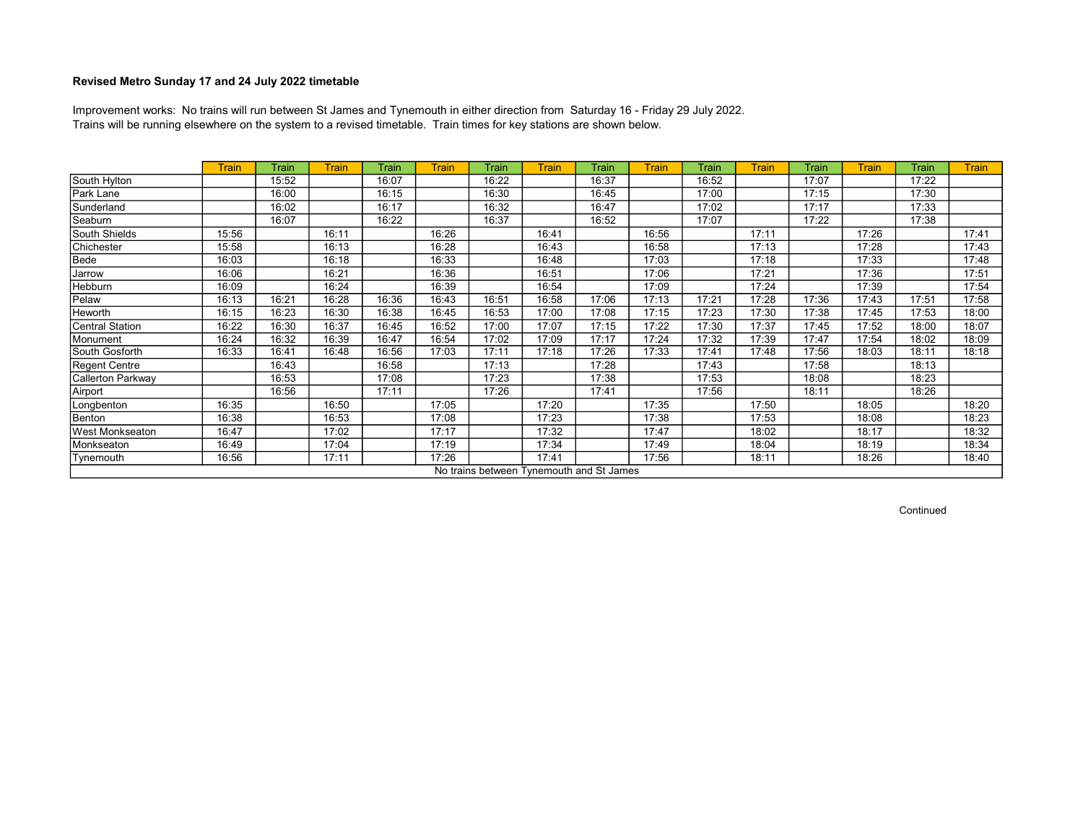Trains will be running elsewhere on the system to a revised timetable. Train times for key stations are shown below. Improvement works: No trains will run between St James and Tynemouth in either direction from Saturday 16 - Friday 29 July 2022.

|                        | <b>Train</b> | Train | Train | Train | <b>Train</b> | Train                                    | Train | Train | <b>Train</b> | Train | <b>Train</b> | Train | <b>Train</b> | Train | <b>Train</b> |
|------------------------|--------------|-------|-------|-------|--------------|------------------------------------------|-------|-------|--------------|-------|--------------|-------|--------------|-------|--------------|
| South Hylton           |              | 15:52 |       | 16:07 |              | 16:22                                    |       | 16:37 |              | 16:52 |              | 17:07 |              | 17:22 |              |
| Park Lane              |              | 16:00 |       | 16:15 |              | 16:30                                    |       | 16:45 |              | 17:00 |              | 17:15 |              | 17:30 |              |
| Sunderland             |              | 16:02 |       | 16:17 |              | 16:32                                    |       | 16:47 |              | 17:02 |              | 17:17 |              | 17:33 |              |
| Seaburn                |              | 16:07 |       | 16:22 |              | 16:37                                    |       | 16:52 |              | 17:07 |              | 17:22 |              | 17:38 |              |
| South Shields          | 15:56        |       | 16:11 |       | 16:26        |                                          | 16:41 |       | 16:56        |       | 17:11        |       | 17:26        |       | 17:41        |
| Chichester             | 15:58        |       | 16:13 |       | 16:28        |                                          | 16:43 |       | 16:58        |       | 17:13        |       | 17:28        |       | 17:43        |
| Bede                   | 16:03        |       | 16:18 |       | 16:33        |                                          | 16:48 |       | 17:03        |       | 17:18        |       | 17:33        |       | 17:48        |
| Jarrow                 | 16:06        |       | 16:21 |       | 16:36        |                                          | 16:51 |       | 17:06        |       | 17:21        |       | 17:36        |       | 17:51        |
| Hebburn                | 16:09        |       | 16:24 |       | 16:39        |                                          | 16:54 |       | 17:09        |       | 17:24        |       | 17:39        |       | 17:54        |
| Pelaw                  | 16:13        | 16:21 | 16:28 | 16:36 | 16:43        | 16:51                                    | 16:58 | 17:06 | 17:13        | 17:21 | 17:28        | 17:36 | 17:43        | 17:51 | 17:58        |
| Heworth                | 16:15        | 16:23 | 16:30 | 16:38 | 16:45        | 16:53                                    | 17:00 | 17:08 | 17:15        | 17:23 | 17:30        | 17:38 | 17:45        | 17:53 | 18:00        |
| <b>Central Station</b> | 16:22        | 16:30 | 16:37 | 16:45 | 16:52        | 17:00                                    | 17:07 | 17:15 | 17:22        | 17:30 | 17:37        | 17:45 | 17:52        | 18:00 | 18:07        |
| Monument               | 16:24        | 16:32 | 16:39 | 16:47 | 16:54        | 17:02                                    | 17:09 | 17:17 | 17:24        | 17:32 | 17:39        | 17:47 | 17:54        | 18:02 | 18:09        |
| South Gosforth         | 16:33        | 16:41 | 16:48 | 16:56 | 17:03        | 17:11                                    | 17:18 | 17:26 | 17:33        | 17:41 | 17:48        | 17:56 | 18:03        | 18:11 | 18:18        |
| <b>Regent Centre</b>   |              | 16:43 |       | 16:58 |              | 17:13                                    |       | 17:28 |              | 17:43 |              | 17:58 |              | 18:13 |              |
| Callerton Parkway      |              | 16:53 |       | 17:08 |              | 17:23                                    |       | 17:38 |              | 17:53 |              | 18:08 |              | 18:23 |              |
| Airport                |              | 16:56 |       | 17:11 |              | 17:26                                    |       | 17:41 |              | 17:56 |              | 18:11 |              | 18:26 |              |
| Longbenton             | 16:35        |       | 16:50 |       | 17:05        |                                          | 17:20 |       | 17:35        |       | 17:50        |       | 18:05        |       | 18:20        |
| Benton                 | 16:38        |       | 16:53 |       | 17:08        |                                          | 17:23 |       | 17:38        |       | 17:53        |       | 18:08        |       | 18:23        |
| <b>West Monkseaton</b> | 16:47        |       | 17:02 |       | 17:17        |                                          | 17:32 |       | 17:47        |       | 18:02        |       | 18:17        |       | 18:32        |
| Monkseaton             | 16:49        |       | 17:04 |       | 17:19        |                                          | 17:34 |       | 17:49        |       | 18:04        |       | 18:19        |       | 18:34        |
| Tynemouth              | 16:56        |       | 17:11 |       | 17:26        |                                          | 17:41 |       | 17:56        |       | 18:11        |       | 18:26        |       | 18:40        |
|                        |              |       |       |       |              | No trains between Tynemouth and St James |       |       |              |       |              |       |              |       |              |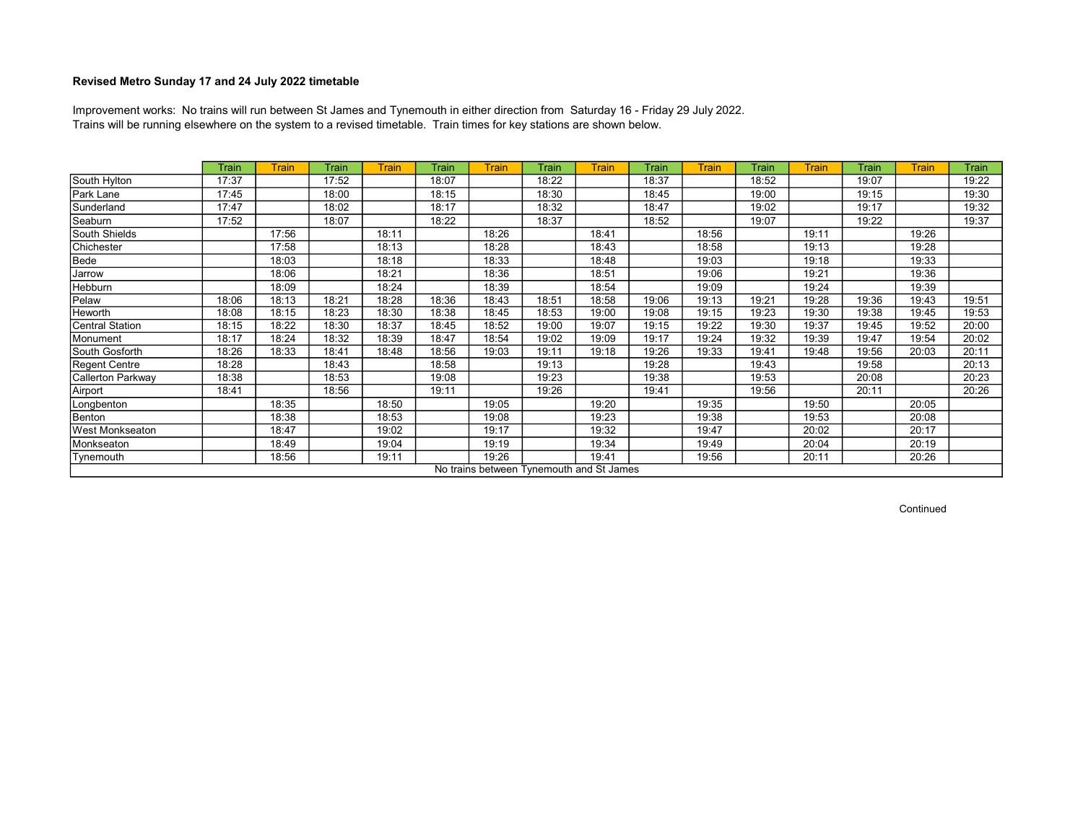Trains will be running elsewhere on the system to a revised timetable. Train times for key stations are shown below. Improvement works: No trains will run between St James and Tynemouth in either direction from Saturday 16 - Friday 29 July 2022.

|                        | Train | <b>Train</b> | Train | <b>Train</b> | Train | <b>Train</b> | Train | <b>Train</b>                             | Train | <b>Train</b> | Train | <b>Train</b> | <b>Train</b> | <b>Train</b> | Train |
|------------------------|-------|--------------|-------|--------------|-------|--------------|-------|------------------------------------------|-------|--------------|-------|--------------|--------------|--------------|-------|
| South Hylton           | 17:37 |              | 17:52 |              | 18:07 |              | 18:22 |                                          | 18:37 |              | 18:52 |              | 19:07        |              | 19:22 |
| Park Lane              | 17:45 |              | 18:00 |              | 18:15 |              | 18:30 |                                          | 18:45 |              | 19:00 |              | 19:15        |              | 19:30 |
| Sunderland             | 17:47 |              | 18:02 |              | 18:17 |              | 18:32 |                                          | 18:47 |              | 19:02 |              | 19:17        |              | 19:32 |
| Seaburn                | 17:52 |              | 18:07 |              | 18:22 |              | 18:37 |                                          | 18:52 |              | 19:07 |              | 19:22        |              | 19:37 |
| South Shields          |       | 17:56        |       | 18:11        |       | 18:26        |       | 18:41                                    |       | 18:56        |       | 19:11        |              | 19:26        |       |
| Chichester             |       | 17:58        |       | 18:13        |       | 18:28        |       | 18:43                                    |       | 18:58        |       | 19:13        |              | 19:28        |       |
| Bede                   |       | 18:03        |       | 18:18        |       | 18:33        |       | 18:48                                    |       | 19:03        |       | 19:18        |              | 19:33        |       |
| Jarrow                 |       | 18:06        |       | 18:21        |       | 18:36        |       | 18:51                                    |       | 19:06        |       | 19:21        |              | 19:36        |       |
| Hebburn                |       | 18:09        |       | 18:24        |       | 18:39        |       | 18:54                                    |       | 19:09        |       | 19:24        |              | 19:39        |       |
| Pelaw                  | 18:06 | 18:13        | 18:21 | 18:28        | 18:36 | 18:43        | 18:51 | 18:58                                    | 19:06 | 19:13        | 19:21 | 19:28        | 19:36        | 19:43        | 19:51 |
| Heworth                | 18:08 | 18:15        | 18:23 | 18:30        | 18:38 | 18:45        | 18:53 | 19:00                                    | 19:08 | 19:15        | 19:23 | 19:30        | 19:38        | 19:45        | 19:53 |
| Central Station        | 18:15 | 18:22        | 18:30 | 18:37        | 18:45 | 18:52        | 19:00 | 19:07                                    | 19:15 | 19:22        | 19:30 | 19:37        | 19:45        | 19:52        | 20:00 |
| Monument               | 18:17 | 18:24        | 18:32 | 18:39        | 18:47 | 18:54        | 19:02 | 19:09                                    | 19:17 | 19:24        | 19:32 | 19:39        | 19:47        | 19:54        | 20:02 |
| South Gosforth         | 18:26 | 18:33        | 18:41 | 18:48        | 18:56 | 19:03        | 19:11 | 19:18                                    | 19:26 | 19:33        | 19:41 | 19:48        | 19:56        | 20:03        | 20:11 |
| <b>Regent Centre</b>   | 18:28 |              | 18:43 |              | 18:58 |              | 19:13 |                                          | 19:28 |              | 19:43 |              | 19:58        |              | 20:13 |
| Callerton Parkway      | 18:38 |              | 18:53 |              | 19:08 |              | 19:23 |                                          | 19:38 |              | 19:53 |              | 20:08        |              | 20:23 |
| Airport                | 18:41 |              | 18:56 |              | 19:11 |              | 19:26 |                                          | 19:41 |              | 19:56 |              | 20:11        |              | 20:26 |
| Longbenton             |       | 18:35        |       | 18:50        |       | 19:05        |       | 19:20                                    |       | 19:35        |       | 19:50        |              | 20:05        |       |
| Benton                 |       | 18:38        |       | 18:53        |       | 19:08        |       | 19:23                                    |       | 19:38        |       | 19:53        |              | 20:08        |       |
| <b>West Monkseaton</b> |       | 18:47        |       | 19:02        |       | 19:17        |       | 19:32                                    |       | 19:47        |       | 20:02        |              | 20:17        |       |
| Monkseaton             |       | 18:49        |       | 19:04        |       | 19:19        |       | 19:34                                    |       | 19:49        |       | 20:04        |              | 20:19        |       |
| Tynemouth              |       | 18:56        |       | 19:11        |       | 19:26        |       | 19:41                                    |       | 19:56        |       | 20:11        |              | 20:26        |       |
|                        |       |              |       |              |       |              |       | No trains between Tynemouth and St James |       |              |       |              |              |              |       |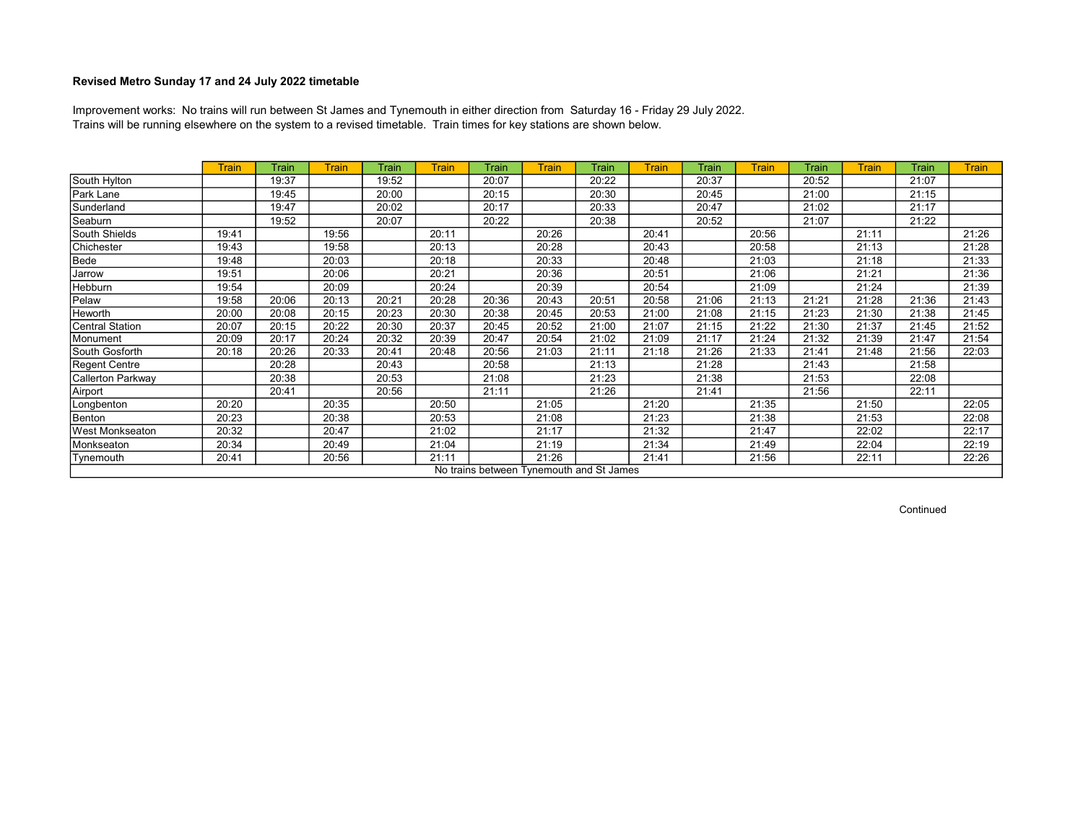Trains will be running elsewhere on the system to a revised timetable. Train times for key stations are shown below. Improvement works: No trains will run between St James and Tynemouth in either direction from Saturday 16 - Friday 29 July 2022.

|                        | <b>Train</b> | Train | <b>Train</b> | Train | <b>Train</b> | Train | <b>Train</b> | Train                                    | <b>Train</b> | Train | <b>Train</b> | Train | <b>Train</b> | Train | <b>Train</b> |
|------------------------|--------------|-------|--------------|-------|--------------|-------|--------------|------------------------------------------|--------------|-------|--------------|-------|--------------|-------|--------------|
| South Hylton           |              | 19:37 |              | 19:52 |              | 20:07 |              | 20:22                                    |              | 20:37 |              | 20:52 |              | 21:07 |              |
| Park Lane              |              | 19:45 |              | 20:00 |              | 20:15 |              | 20:30                                    |              | 20:45 |              | 21:00 |              | 21:15 |              |
| Sunderland             |              | 19:47 |              | 20:02 |              | 20:17 |              | 20:33                                    |              | 20:47 |              | 21:02 |              | 21:17 |              |
| Seaburn                |              | 19:52 |              | 20:07 |              | 20:22 |              | 20:38                                    |              | 20:52 |              | 21:07 |              | 21:22 |              |
| South Shields          | 19:41        |       | 19:56        |       | 20:11        |       | 20:26        |                                          | 20:41        |       | 20:56        |       | 21:11        |       | 21:26        |
| Chichester             | 19:43        |       | 19:58        |       | 20:13        |       | 20:28        |                                          | 20:43        |       | 20:58        |       | 21:13        |       | 21:28        |
| Bede                   | 19:48        |       | 20:03        |       | 20:18        |       | 20:33        |                                          | 20:48        |       | 21:03        |       | 21:18        |       | 21:33        |
| Jarrow                 | 19:51        |       | 20:06        |       | 20:21        |       | 20:36        |                                          | 20:51        |       | 21:06        |       | 21:21        |       | 21:36        |
| Hebburn                | 19:54        |       | 20:09        |       | 20:24        |       | 20:39        |                                          | 20:54        |       | 21:09        |       | 21:24        |       | 21:39        |
| Pelaw                  | 19:58        | 20:06 | 20:13        | 20:21 | 20:28        | 20:36 | 20:43        | 20:51                                    | 20:58        | 21:06 | 21:13        | 21:21 | 21:28        | 21:36 | 21:43        |
| Heworth                | 20:00        | 20:08 | 20:15        | 20:23 | 20:30        | 20:38 | 20:45        | 20:53                                    | 21:00        | 21:08 | 21:15        | 21:23 | 21:30        | 21:38 | 21:45        |
| Central Station        | 20:07        | 20:15 | 20:22        | 20:30 | 20:37        | 20:45 | 20:52        | 21:00                                    | 21:07        | 21:15 | 21:22        | 21:30 | 21:37        | 21:45 | 21:52        |
| Monument               | 20:09        | 20:17 | 20:24        | 20:32 | 20:39        | 20:47 | 20:54        | 21:02                                    | 21:09        | 21:17 | 21:24        | 21:32 | 21:39        | 21:47 | 21:54        |
| South Gosforth         | 20:18        | 20:26 | 20:33        | 20:41 | 20:48        | 20:56 | 21:03        | 21:11                                    | 21:18        | 21:26 | 21:33        | 21:41 | 21:48        | 21:56 | 22:03        |
| <b>Regent Centre</b>   |              | 20:28 |              | 20:43 |              | 20:58 |              | 21:13                                    |              | 21:28 |              | 21:43 |              | 21:58 |              |
| Callerton Parkway      |              | 20:38 |              | 20:53 |              | 21:08 |              | 21:23                                    |              | 21:38 |              | 21:53 |              | 22:08 |              |
| Airport                |              | 20:41 |              | 20:56 |              | 21:11 |              | 21:26                                    |              | 21:41 |              | 21:56 |              | 22:11 |              |
| Longbenton             | 20:20        |       | 20:35        |       | 20:50        |       | 21:05        |                                          | 21:20        |       | 21:35        |       | 21:50        |       | 22:05        |
| Benton                 | 20:23        |       | 20:38        |       | 20:53        |       | 21:08        |                                          | 21:23        |       | 21:38        |       | 21:53        |       | 22:08        |
| <b>West Monkseaton</b> | 20:32        |       | 20:47        |       | 21:02        |       | 21:17        |                                          | 21:32        |       | 21:47        |       | 22:02        |       | 22:17        |
| Monkseaton             | 20:34        |       | 20:49        |       | 21:04        |       | 21:19        |                                          | 21:34        |       | 21:49        |       | 22:04        |       | 22:19        |
| Tynemouth              | 20:41        |       | 20:56        |       | 21:11        |       | 21:26        |                                          | 21:41        |       | 21:56        |       | 22:11        |       | 22:26        |
|                        |              |       |              |       |              |       |              | No trains between Tynemouth and St James |              |       |              |       |              |       |              |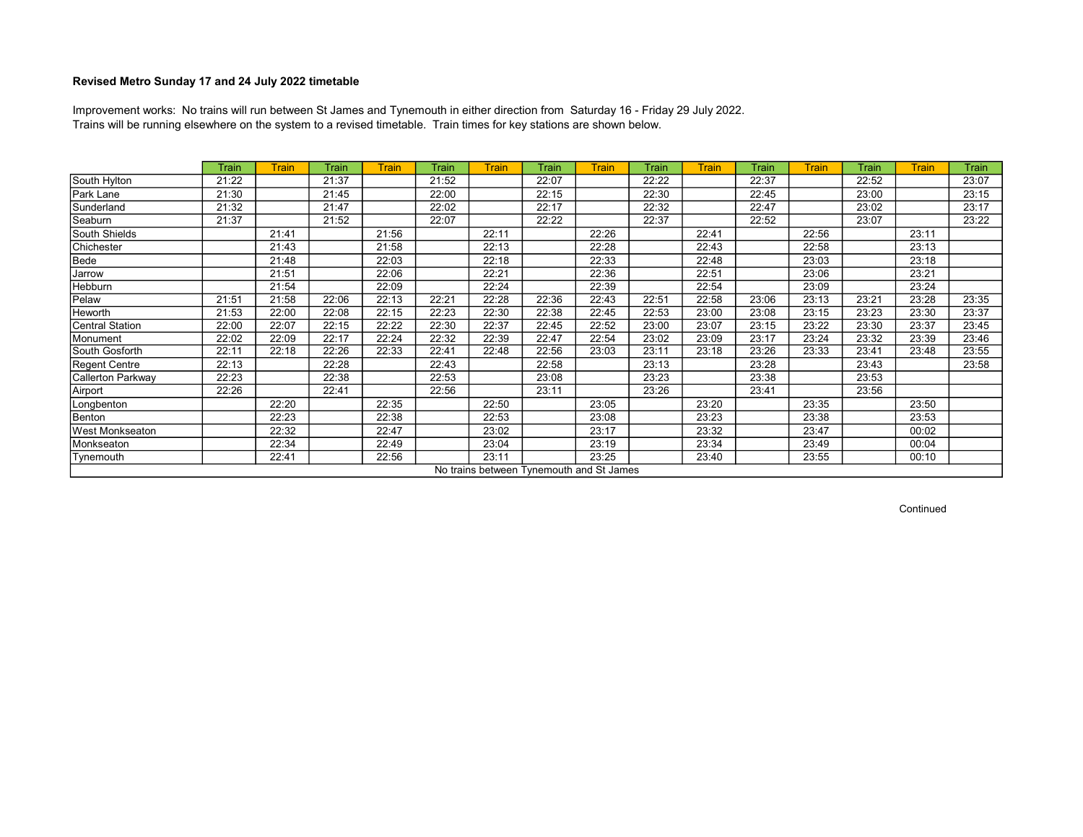Trains will be running elsewhere on the system to a revised timetable. Train times for key stations are shown below. Improvement works: No trains will run between St James and Tynemouth in either direction from Saturday 16 - Friday 29 July 2022.

|                        | <b>Train</b> | <b>Train</b> | Train | <b>Train</b> | Train | <b>Train</b>                             | Train | <b>Train</b> | Train | <b>Train</b> | Train | <b>Train</b> | <b>Train</b> | <b>Train</b> | Train |
|------------------------|--------------|--------------|-------|--------------|-------|------------------------------------------|-------|--------------|-------|--------------|-------|--------------|--------------|--------------|-------|
| South Hylton           | 21:22        |              | 21:37 |              | 21:52 |                                          | 22:07 |              | 22:22 |              | 22:37 |              | 22:52        |              | 23:07 |
| Park Lane              | 21:30        |              | 21:45 |              | 22:00 |                                          | 22:15 |              | 22:30 |              | 22:45 |              | 23:00        |              | 23:15 |
| Sunderland             | 21:32        |              | 21:47 |              | 22:02 |                                          | 22:17 |              | 22:32 |              | 22:47 |              | 23:02        |              | 23:17 |
| Seaburn                | 21:37        |              | 21:52 |              | 22:07 |                                          | 22:22 |              | 22:37 |              | 22:52 |              | 23:07        |              | 23:22 |
| South Shields          |              | 21:41        |       | 21:56        |       | 22:11                                    |       | 22:26        |       | 22:41        |       | 22:56        |              | 23:11        |       |
| Chichester             |              | 21:43        |       | 21:58        |       | 22:13                                    |       | 22:28        |       | 22:43        |       | 22:58        |              | 23:13        |       |
| Bede                   |              | 21:48        |       | 22:03        |       | 22:18                                    |       | 22:33        |       | 22:48        |       | 23:03        |              | 23:18        |       |
| Jarrow                 |              | 21:51        |       | 22:06        |       | 22:21                                    |       | 22:36        |       | 22:51        |       | 23:06        |              | 23:21        |       |
| Hebburn                |              | 21:54        |       | 22:09        |       | 22:24                                    |       | 22:39        |       | 22:54        |       | 23:09        |              | 23:24        |       |
| Pelaw                  | 21:51        | 21:58        | 22:06 | 22:13        | 22:21 | 22:28                                    | 22:36 | 22:43        | 22:51 | 22:58        | 23:06 | 23:13        | 23:21        | 23:28        | 23:35 |
| Heworth                | 21:53        | 22:00        | 22:08 | 22:15        | 22:23 | 22:30                                    | 22:38 | 22:45        | 22:53 | 23:00        | 23:08 | 23:15        | 23:23        | 23:30        | 23:37 |
| <b>Central Station</b> | 22:00        | 22:07        | 22:15 | 22:22        | 22:30 | 22:37                                    | 22:45 | 22:52        | 23:00 | 23:07        | 23:15 | 23:22        | 23:30        | 23:37        | 23:45 |
| Monument               | 22:02        | 22:09        | 22:17 | 22:24        | 22:32 | 22:39                                    | 22:47 | 22:54        | 23:02 | 23:09        | 23:17 | 23:24        | 23:32        | 23:39        | 23:46 |
| South Gosforth         | 22:11        | 22:18        | 22:26 | 22:33        | 22:41 | 22:48                                    | 22:56 | 23:03        | 23:11 | 23:18        | 23:26 | 23:33        | 23:41        | 23:48        | 23:55 |
| <b>Regent Centre</b>   | 22:13        |              | 22:28 |              | 22:43 |                                          | 22:58 |              | 23:13 |              | 23:28 |              | 23:43        |              | 23:58 |
| Callerton Parkway      | 22:23        |              | 22:38 |              | 22:53 |                                          | 23:08 |              | 23:23 |              | 23:38 |              | 23:53        |              |       |
| Airport                | 22:26        |              | 22:41 |              | 22:56 |                                          | 23:11 |              | 23:26 |              | 23:41 |              | 23:56        |              |       |
| Longbenton             |              | 22:20        |       | 22:35        |       | 22:50                                    |       | 23:05        |       | 23:20        |       | 23:35        |              | 23:50        |       |
| Benton                 |              | 22:23        |       | 22:38        |       | 22:53                                    |       | 23:08        |       | 23:23        |       | 23:38        |              | 23:53        |       |
| West Monkseaton        |              | 22:32        |       | 22:47        |       | 23:02                                    |       | 23:17        |       | 23:32        |       | 23:47        |              | 00:02        |       |
| Monkseaton             |              | 22:34        |       | 22:49        |       | 23:04                                    |       | 23:19        |       | 23:34        |       | 23:49        |              | 00:04        |       |
| Tynemouth              |              | 22:41        |       | 22:56        |       | 23:11                                    |       | 23:25        |       | 23:40        |       | 23:55        |              | 00:10        |       |
|                        |              |              |       |              |       | No trains between Tynemouth and St James |       |              |       |              |       |              |              |              |       |